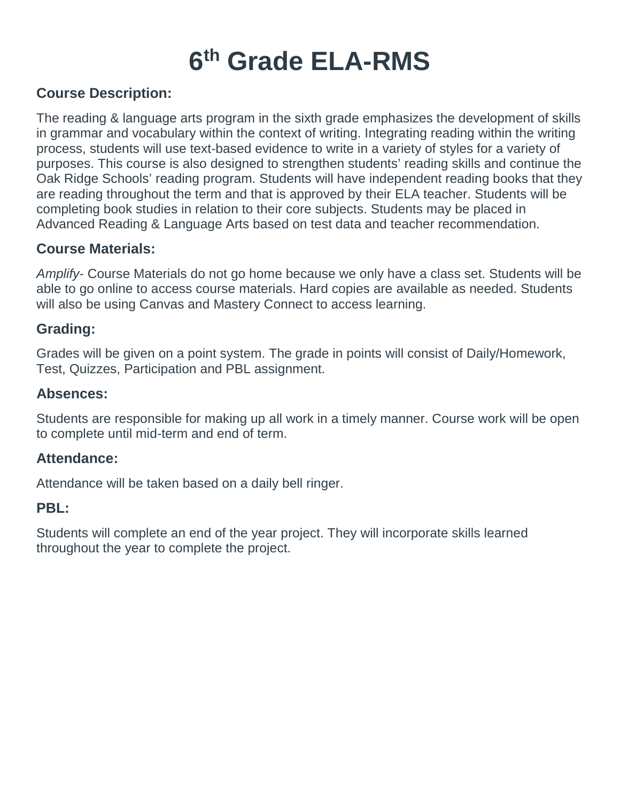# **6th Grade ELA-RMS**

#### **Course Description:**

The reading & language arts program in the sixth grade emphasizes the development of skills in grammar and vocabulary within the context of writing. Integrating reading within the writing process, students will use text-based evidence to write in a variety of styles for a variety of purposes. This course is also designed to strengthen students' reading skills and continue the Oak Ridge Schools' reading program. Students will have independent reading books that they are reading throughout the term and that is approved by their ELA teacher. Students will be completing book studies in relation to their core subjects. Students may be placed in Advanced Reading & Language Arts based on test data and teacher recommendation.

#### **Course Materials:**

*Amplify*- Course Materials do not go home because we only have a class set. Students will be able to go online to access course materials. Hard copies are available as needed. Students will also be using Canvas and Mastery Connect to access learning.

#### **Grading:**

Grades will be given on a point system. The grade in points will consist of Daily/Homework, Test, Quizzes, Participation and PBL assignment.

#### **Absences:**

Students are responsible for making up all work in a timely manner. Course work will be open to complete until mid-term and end of term.

#### **Attendance:**

Attendance will be taken based on a daily bell ringer.

#### **PBL:**

Students will complete an end of the year project. They will incorporate skills learned throughout the year to complete the project.